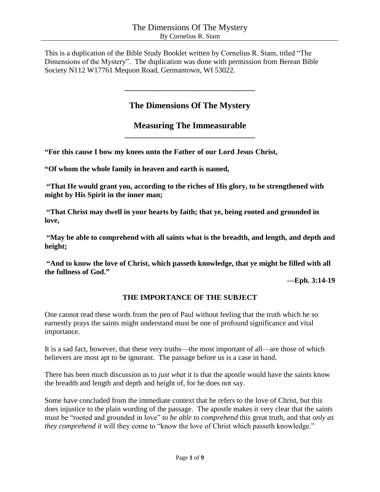This is a duplication of the Bible Study Booklet written by Cornelius R. Stam, titled "The Dimensions of the Mystery". The duplication was done with permission from Berean Bible Society N112 W17761 Mequon Road, Germantown, WI 53022.

# **The Dimensions Of The Mystery**

**\_\_\_\_\_\_\_\_\_\_\_\_\_\_\_\_\_\_\_\_\_\_\_\_\_\_\_\_\_\_\_\_\_\_\_**

**Measuring The Immeasurable \_\_\_\_\_\_\_\_\_\_\_\_\_\_\_\_\_\_\_\_\_\_\_\_\_\_\_\_\_\_\_\_\_\_\_**

**"For this cause I bow my knees unto the Father of our Lord Jesus Christ,**

**"Of whom the whole family in heaven and earth is named,**

**"That He would grant you, according to the riches of His glory, to be strengthened with might by His Spirit in the inner man;**

**"That Christ may dwell in your hearts by faith; that ye, being rooted and grounded in love,**

**"May be able to comprehend with all saints what is the breadth, and length, and depth and height;**

**"And to know the love of Christ, which passeth knowledge, that ye might be filled with all the fullness of God."**

**—Eph. 3:14-19**

## **THE IMPORTANCE OF THE SUBJECT**

One cannot read these words from the pen of Paul without feeling that the truth which he so earnestly prays the saints might understand must be one of profound significance and vital importance.

It is a sad fact, however, that these very truths—the most important of all—are those of which believers are most apt to be ignorant. The passage before us is a case in hand.

There has been much discussion as to *just what* it is that the apostle would have the saints know the breadth and length and depth and height of, for he does not say.

Some have concluded from the immediate context that he refers to the love of Christ, but this does injustice to the plain wording of the passage. The apostle makes it very clear that the saints must be "rooted and grounded in love" *to be able to comprehend* this great truth, and that *only as they comprehend it* will they come to "know the love of Christ which passeth knowledge."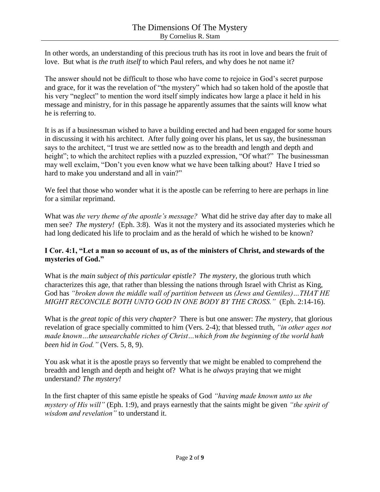In other words, an understanding of this precious truth has its root in love and bears the fruit of love. But what is *the truth itself* to which Paul refers, and why does he not name it?

The answer should not be difficult to those who have come to rejoice in God's secret purpose and grace, for it was the revelation of "the mystery" which had so taken hold of the apostle that his very "neglect" to mention the word itself simply indicates how large a place it held in his message and ministry, for in this passage he apparently assumes that the saints will know what he is referring to.

It is as if a businessman wished to have a building erected and had been engaged for some hours in discussing it with his architect. After fully going over his plans, let us say, the businessman says to the architect, "I trust we are settled now as to the breadth and length and depth and height"; to which the architect replies with a puzzled expression, "Of what?" The businessman may well exclaim, "Don't you even know what we have been talking about? Have I tried so hard to make you understand and all in vain?"

We feel that those who wonder what it is the apostle can be referring to here are perhaps in line for a similar reprimand.

What was *the very theme of the apostle's message?* What did he strive day after day to make all men see? *The mystery!* (Eph. 3:8). Was it not the mystery and its associated mysteries which he had long dedicated his life to proclaim and as the herald of which he wished to be known?

#### **I Cor. 4:1, "Let a man so account of us, as of the ministers of Christ, and stewards of the mysteries of God."**

What is *the main subject of this particular epistle?**The mystery,* the glorious truth which characterizes this age, that rather than blessing the nations through Israel with Christ as King, God has *"broken down the middle wall of partition between us (Jews and Gentiles)…THAT HE MIGHT RECONCILE BOTH UNTO GOD IN ONE BODY BY THE CROSS."* (Eph. 2:14-16).

What is *the great topic of this very chapter?* There is but one answer: *The mystery*, that glorious revelation of grace specially committed to him (Vers. 2-4); that blessed truth, *"in other ages not made known…the unsearchable riches of Christ…which from the beginning of the world hath been hid in God."* (Vers. 5, 8, 9).

You ask what it is the apostle prays so fervently that we might be enabled to comprehend the breadth and length and depth and height of? What is he *always* praying that we might understand? *The mystery!*

In the first chapter of this same epistle he speaks of God *"having made known unto us the mystery of His will"* (Eph. 1:9), and prays earnestly that the saints might be given *"the spirit of wisdom and revelation"* to understand it.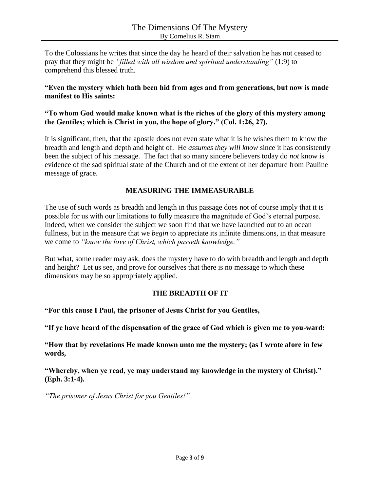To the Colossians he writes that since the day he heard of their salvation he has not ceased to pray that they might be *"filled with all wisdom and spiritual understanding"* (1:9) to comprehend this blessed truth.

#### **"Even the mystery which hath been hid from ages and from generations, but now is made manifest to His saints:**

#### **"To whom God would make known what is the riches of the glory of this mystery among the Gentiles; which is Christ in you, the hope of glory." (Col. 1:26, 27).**

It is significant, then, that the apostle does not even state what it is he wishes them to know the breadth and length and depth and height of. He *assumes they will know* since it has consistently been the subject of his message. The fact that so many sincere believers today do *not* know is evidence of the sad spiritual state of the Church and of the extent of her departure from Pauline message of grace.

## **MEASURING THE IMMEASURABLE**

The use of such words as breadth and length in this passage does not of course imply that it is possible for us with our limitations to fully measure the magnitude of God's eternal purpose. Indeed, when we consider the subject we soon find that we have launched out to an ocean fullness, but in the measure that we *begin* to appreciate its infinite dimensions, in that measure we come to *"know the love of Christ, which passeth knowledge."*

But what, some reader may ask, does the mystery have to do with breadth and length and depth and height? Let us see, and prove for ourselves that there is no message to which these dimensions may be so appropriately applied.

#### **THE BREADTH OF IT**

**"For this cause I Paul, the prisoner of Jesus Christ for you Gentiles,**

**"If ye have heard of the dispensation of the grace of God which is given me to you-ward:**

**"How that by revelations He made known unto me the mystery; (as I wrote afore in few words,**

**"Whereby, when ye read, ye may understand my knowledge in the mystery of Christ)." (Eph. 3:1-4).**

*"The prisoner of Jesus Christ for you Gentiles!"*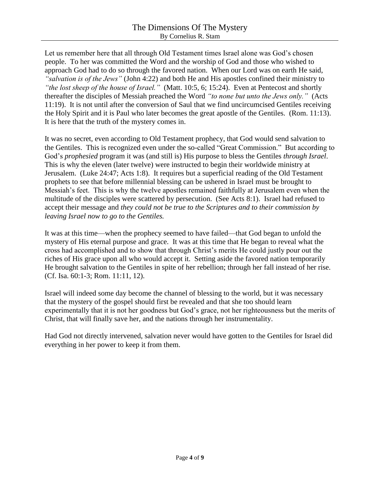Let us remember here that all through Old Testament times Israel alone was God's chosen people. To her was committed the Word and the worship of God and those who wished to approach God had to do so through the favored nation. When our Lord was on earth He said, *"salvation is of the Jews"* (John 4:22) and both He and His apostles confined their ministry to *"the lost sheep of the house of Israel."* (Matt. 10:5, 6; 15:24). Even at Pentecost and shortly thereafter the disciples of Messiah preached the Word *"to none but unto the Jews only."* (Acts 11:19). It is not until after the conversion of Saul that we find uncircumcised Gentiles receiving the Holy Spirit and it is Paul who later becomes the great apostle of the Gentiles. (Rom. 11:13). It is here that the truth of the mystery comes in.

It was no secret, even according to Old Testament prophecy, that God would send salvation to the Gentiles. This is recognized even under the so-called "Great Commission." But according to God's *prophesied* program it was (and still is) His purpose to bless the Gentiles *through Israel*. This is why the eleven (later twelve) were instructed to begin their worldwide ministry at Jerusalem. (Luke 24:47; Acts 1:8). It requires but a superficial reading of the Old Testament prophets to see that before millennial blessing can be ushered in Israel must be brought to Messiah's feet. This is why the twelve apostles remained faithfully at Jerusalem even when the multitude of the disciples were scattered by persecution. (See Acts 8:1). Israel had refused to accept their message and *they could not be true to the Scriptures and to their commission by leaving Israel now to go to the Gentiles.*

It was at this time—when the prophecy seemed to have failed—that God began to unfold the mystery of His eternal purpose and grace. It was at this time that He began to reveal what the cross had accomplished and to show that through Christ's merits He could justly pour out the riches of His grace upon all who would accept it. Setting aside the favored nation temporarily He brought salvation to the Gentiles in spite of her rebellion; through her fall instead of her rise. (Cf. Isa. 60:1-3; Rom. 11:11, 12).

Israel will indeed some day become the channel of blessing to the world, but it was necessary that the mystery of the gospel should first be revealed and that she too should learn experimentally that it is not her goodness but God's grace, not her righteousness but the merits of Christ, that will finally save her, and the nations through her instrumentality.

Had God not directly intervened, salvation never would have gotten to the Gentiles for Israel did everything in her power to keep it from them.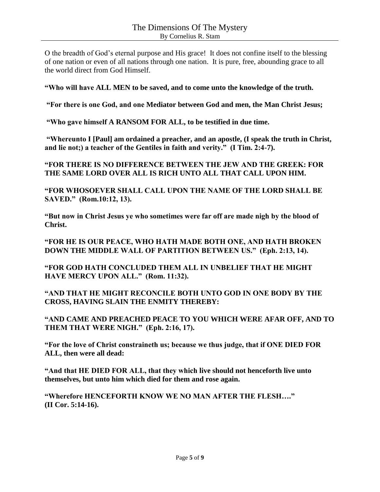O the breadth of God's eternal purpose and His grace! It does not confine itself to the blessing of one nation or even of all nations through one nation. It is pure, free, abounding grace to all the world direct from God Himself.

**"Who will have ALL MEN to be saved, and to come unto the knowledge of the truth.**

**"For there is one God, and one Mediator between God and men, the Man Christ Jesus;**

**"Who gave himself A RANSOM FOR ALL, to be testified in due time.** 

**"Whereunto I [Paul] am ordained a preacher, and an apostle, (I speak the truth in Christ, and lie not;) a teacher of the Gentiles in faith and verity." (I Tim. 2:4-7).**

**"FOR THERE IS NO DIFFERENCE BETWEEN THE JEW AND THE GREEK: FOR THE SAME LORD OVER ALL IS RICH UNTO ALL THAT CALL UPON HIM.** 

**"FOR WHOSOEVER SHALL CALL UPON THE NAME OF THE LORD SHALL BE SAVED." (Rom.10:12, 13).**

**"But now in Christ Jesus ye who sometimes were far off are made nigh by the blood of Christ.**

**"FOR HE IS OUR PEACE, WHO HATH MADE BOTH ONE, AND HATH BROKEN DOWN THE MIDDLE WALL OF PARTITION BETWEEN US." (Eph. 2:13, 14).**

**"FOR GOD HATH CONCLUDED THEM ALL IN UNBELIEF THAT HE MIGHT HAVE MERCY UPON ALL." (Rom. 11:32).**

**"AND THAT HE MIGHT RECONCILE BOTH UNTO GOD IN ONE BODY BY THE CROSS, HAVING SLAIN THE ENMITY THEREBY:**

**"AND CAME AND PREACHED PEACE TO YOU WHICH WERE AFAR OFF, AND TO THEM THAT WERE NIGH." (Eph. 2:16, 17).**

**"For the love of Christ constraineth us; because we thus judge, that if ONE DIED FOR ALL, then were all dead:**

**"And that HE DIED FOR ALL, that they which live should not henceforth live unto themselves, but unto him which died for them and rose again.**

**"Wherefore HENCEFORTH KNOW WE NO MAN AFTER THE FLESH…." (II Cor. 5:14-16).**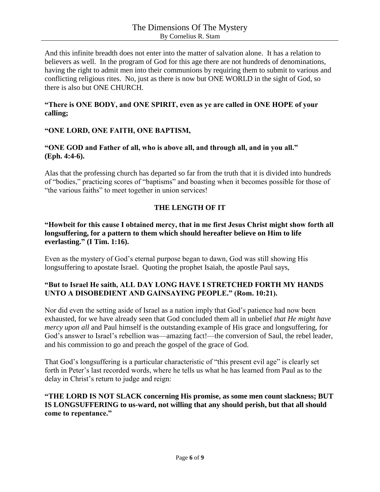And this infinite breadth does not enter into the matter of salvation alone. It has a relation to believers as well. In the program of God for this age there are not hundreds of denominations, having the right to admit men into their communions by requiring them to submit to various and conflicting religious rites. No, just as there is now but ONE WORLD in the sight of God, so there is also but ONE CHURCH.

## **"There is ONE BODY, and ONE SPIRIT, even as ye are called in ONE HOPE of your calling;**

## **"ONE LORD, ONE FAITH, ONE BAPTISM,**

## **"ONE GOD and Father of all, who is above all, and through all, and in you all." (Eph. 4:4-6).**

Alas that the professing church has departed so far from the truth that it is divided into hundreds of "bodies," practicing scores of "baptisms" and boasting when it becomes possible for those of "the various faiths" to meet together in union services!

## **THE LENGTH OF IT**

#### **"Howbeit for this cause I obtained mercy, that in me first Jesus Christ might show forth all longsuffering, for a pattern to them which should hereafter believe on Him to life everlasting." (I Tim. 1:16).**

Even as the mystery of God's eternal purpose began to dawn, God was still showing His longsuffering to apostate Israel. Quoting the prophet Isaiah, the apostle Paul says,

## **"But to Israel He saith, ALL DAY LONG HAVE I STRETCHED FORTH MY HANDS UNTO A DISOBEDIENT AND GAINSAYING PEOPLE." (Rom. 10:21).**

Nor did even the setting aside of Israel as a nation imply that God's patience had now been exhausted, for we have already seen that God concluded them all in unbelief *that He might have mercy upon all* and Paul himself is the outstanding example of His grace and longsuffering, for God's answer to Israel's rebellion was—amazing fact!—the conversion of Saul, the rebel leader, and his commission to go and preach the gospel of the grace of God.

That God's longsuffering is a particular characteristic of "this present evil age" is clearly set forth in Peter's last recorded words, where he tells us what he has learned from Paul as to the delay in Christ's return to judge and reign:

#### **"THE LORD IS NOT SLACK concerning His promise, as some men count slackness; BUT IS LONGSUFFERING to us-ward, not willing that any should perish, but that all should come to repentance."**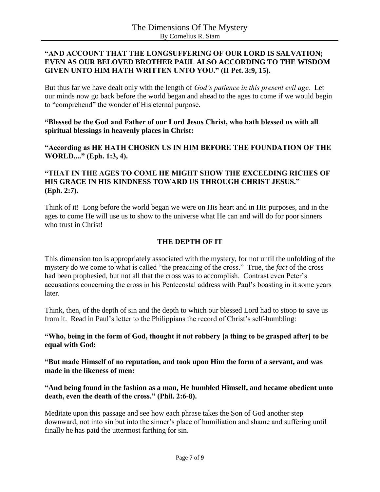#### **"AND ACCOUNT THAT THE LONGSUFFERING OF OUR LORD IS SALVATION; EVEN AS OUR BELOVED BROTHER PAUL ALSO ACCORDING TO THE WISDOM GIVEN UNTO HIM HATH WRITTEN UNTO YOU." (II Pet. 3:9, 15).**

But thus far we have dealt only with the length of *God's patience in this present evil age.* Let our minds now go back before the world began and ahead to the ages to come if we would begin to "comprehend" the wonder of His eternal purpose.

**"Blessed be the God and Father of our Lord Jesus Christ, who hath blessed us with all spiritual blessings in heavenly places in Christ:**

**"According as HE HATH CHOSEN US IN HIM BEFORE THE FOUNDATION OF THE WORLD...." (Eph. 1:3, 4).**

## **"THAT IN THE AGES TO COME HE MIGHT SHOW THE EXCEEDING RICHES OF HIS GRACE IN HIS KINDNESS TOWARD US THROUGH CHRIST JESUS." (Eph. 2:7).**

Think of it! Long before the world began we were on His heart and in His purposes, and in the ages to come He will use us to show to the universe what He can and will do for poor sinners who trust in Christ!

## **THE DEPTH OF IT**

This dimension too is appropriately associated with the mystery, for not until the unfolding of the mystery do we come to what is called "the preaching of the cross." True, the *fact* of the cross had been prophesied, but not all that the cross was to accomplish. Contrast even Peter's accusations concerning the cross in his Pentecostal address with Paul's boasting in it some years later.

Think, then, of the depth of sin and the depth to which our blessed Lord had to stoop to save us from it. Read in Paul's letter to the Philippians the record of Christ's self-humbling:

**"Who, being in the form of God, thought it not robbery [a thing to be grasped after] to be equal with God:**

**"But made Himself of no reputation, and took upon Him the form of a servant, and was made in the likeness of men:**

**"And being found in the fashion as a man, He humbled Himself, and became obedient unto death, even the death of the cross." (Phil. 2:6-8).**

Meditate upon this passage and see how each phrase takes the Son of God another step downward, not into sin but into the sinner's place of humiliation and shame and suffering until finally he has paid the uttermost farthing for sin.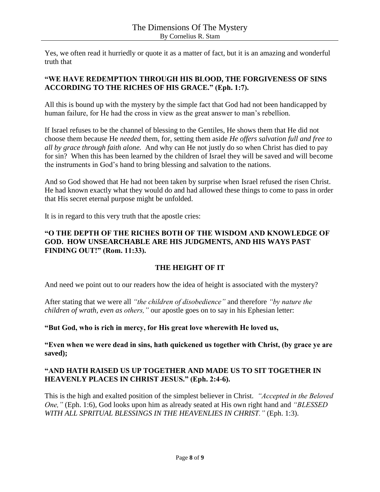Yes, we often read it hurriedly or quote it as a matter of fact, but it is an amazing and wonderful truth that

## **"WE HAVE REDEMPTION THROUGH HIS BLOOD, THE FORGIVENESS OF SINS ACCORDING TO THE RICHES OF HIS GRACE." (Eph. 1:7).**

All this is bound up with the mystery by the simple fact that God had not been handicapped by human failure, for He had the cross in view as the great answer to man's rebellion.

If Israel refuses to be the channel of blessing to the Gentiles, He shows them that He did not choose them because He *needed* them, for, setting them aside *He offers salvation full and free to all by grace through faith alone.* And why can He not justly do so when Christ has died to pay for sin? When this has been learned by the children of Israel they will be saved and will become the instruments in God's hand to bring blessing and salvation to the nations.

And so God showed that He had not been taken by surprise when Israel refused the risen Christ. He had known exactly what they would do and had allowed these things to come to pass in order that His secret eternal purpose might be unfolded.

It is in regard to this very truth that the apostle cries:

#### **"O THE DEPTH OF THE RICHES BOTH OF THE WISDOM AND KNOWLEDGE OF GOD. HOW UNSEARCHABLE ARE HIS JUDGMENTS, AND HIS WAYS PAST FINDING OUT!" (Rom. 11:33).**

## **THE HEIGHT OF IT**

And need we point out to our readers how the idea of height is associated with the mystery?

After stating that we were all *"the children of disobedience"* and therefore *"by nature the children of wrath, even as others,"* our apostle goes on to say in his Ephesian letter:

#### **"But God, who is rich in mercy, for His great love wherewith He loved us,**

**"Even when we were dead in sins, hath quickened us together with Christ, (by grace ye are saved);**

## **"AND HATH RAISED US UP TOGETHER AND MADE US TO SIT TOGETHER IN HEAVENLY PLACES IN CHRIST JESUS." (Eph. 2:4-6).**

This is the high and exalted position of the simplest believer in Christ. *"Accepted in the Beloved One,"* (Eph. 1:6), God looks upon him as already seated at His own right hand and *"BLESSED WITH ALL SPRITUAL BLESSINGS IN THE HEAVENLIES IN CHRIST."* (Eph. 1:3).